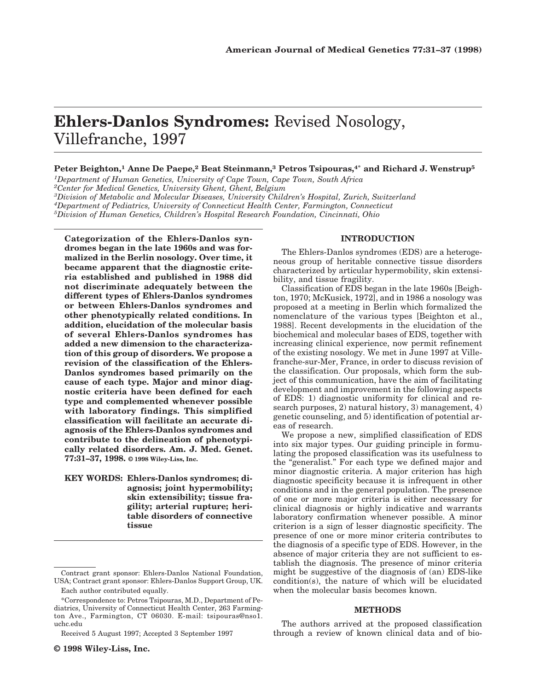# **Ehlers-Danlos Syndromes:** Revised Nosology, Villefranche, 1997

## **Peter Beighton,<sup>1</sup> Anne De Paepe,2 Beat Steinmann,<sup>3</sup> Petros Tsipouras,4\* and Richard J. Wenstrup5**

*1Department of Human Genetics, University of Cape Town, Cape Town, South Africa*

*2Center for Medical Genetics, University Ghent, Ghent, Belgium*

*3Division of Metabolic and Molecular Diseases, University Children's Hospital, Zurich, Switzerland 4Department of Pediatrics, University of Connecticut Health Center, Farmington, Connecticut*

*5Division of Human Genetics, Children's Hospital Research Foundation, Cincinnati, Ohio*

**Categorization of the Ehlers-Danlos syndromes began in the late 1960s and was formalized in the Berlin nosology. Over time, it became apparent that the diagnostic criteria established and published in 1988 did not discriminate adequately between the different types of Ehlers-Danlos syndromes or between Ehlers-Danlos syndromes and other phenotypically related conditions. In addition, elucidation of the molecular basis of several Ehlers-Danlos syndromes has added a new dimension to the characterization of this group of disorders. We propose a revision of the classification of the Ehlers-Danlos syndromes based primarily on the cause of each type. Major and minor diagnostic criteria have been defined for each type and complemented whenever possible with laboratory findings. This simplified classification will facilitate an accurate diagnosis of the Ehlers-Danlos syndromes and contribute to the delineation of phenotypically related disorders. Am. J. Med. Genet. 77:31–37, 1998. © 1998 Wiley-Liss, Inc.**

**KEY WORDS: Ehlers-Danlos syndromes; diagnosis; joint hypermobility; skin extensibility; tissue fragility; arterial rupture; heritable disorders of connective tissue**

#### **INTRODUCTION**

The Ehlers-Danlos syndromes (EDS) are a heterogeneous group of heritable connective tissue disorders characterized by articular hypermobility, skin extensibility, and tissue fragility.

Classification of EDS began in the late 1960s [Beighton, 1970; McKusick, 1972], and in 1986 a nosology was proposed at a meeting in Berlin which formalized the nomenclature of the various types [Beighton et al., 1988]. Recent developments in the elucidation of the biochemical and molecular bases of EDS, together with increasing clinical experience, now permit refinement of the existing nosology. We met in June 1997 at Villefranche-sur-Mer, France, in order to discuss revision of the classification. Our proposals, which form the subject of this communication, have the aim of facilitating development and improvement in the following aspects of EDS: 1) diagnostic uniformity for clinical and research purposes, 2) natural history, 3) management, 4) genetic counseling, and 5) identification of potential areas of research.

We propose a new, simplified classification of EDS into six major types. Our guiding principle in formulating the proposed classification was its usefulness to the "generalist." For each type we defined major and minor diagnostic criteria. A major criterion has high diagnostic specificity because it is infrequent in other conditions and in the general population. The presence of one or more major criteria is either necessary for clinical diagnosis or highly indicative and warrants laboratory confirmation whenever possible. A minor criterion is a sign of lesser diagnostic specificity. The presence of one or more minor criteria contributes to the diagnosis of a specific type of EDS. However, in the absence of major criteria they are not sufficient to establish the diagnosis. The presence of minor criteria might be suggestive of the diagnosis of (an) EDS-like condition(s), the nature of which will be elucidated when the molecular basis becomes known.

#### **METHODS**

The authors arrived at the proposed classification through a review of known clinical data and of bio-

Contract grant sponsor: Ehlers-Danlos National Foundation, USA; Contract grant sponsor: Ehlers-Danlos Support Group, UK. Each author contributed equally.

<sup>\*</sup>Correspondence to: Petros Tsipouras, M.D., Department of Pediatrics, University of Connecticut Health Center, 263 Farmington Ave., Farmington, CT 06030. E-mail: tsipouras@nso1. uchc.edu

Received 5 August 1997; Accepted 3 September 1997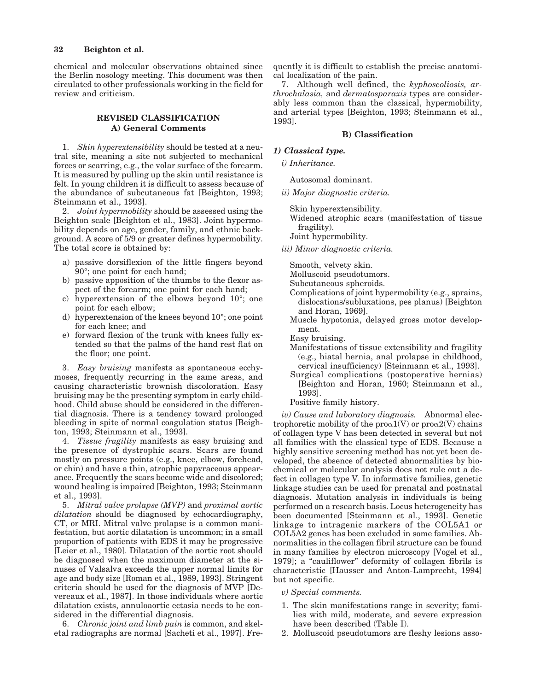chemical and molecular observations obtained since the Berlin nosology meeting. This document was then circulated to other professionals working in the field for review and criticism.

## **REVISED CLASSIFICATION A) General Comments**

1. *Skin hyperextensibility* should be tested at a neutral site, meaning a site not subjected to mechanical forces or scarring, e.g., the volar surface of the forearm. It is measured by pulling up the skin until resistance is felt. In young children it is difficult to assess because of the abundance of subcutaneous fat [Beighton, 1993; Steinmann et al., 1993].

2. *Joint hypermobility* should be assessed using the Beighton scale [Beighton et al., 1983]. Joint hypermobility depends on age, gender, family, and ethnic background. A score of 5/9 or greater defines hypermobility. The total score is obtained by:

- a) passive dorsiflexion of the little fingers beyond 90°; one point for each hand;
- b) passive apposition of the thumbs to the flexor aspect of the forearm; one point for each hand;
- c) hyperextension of the elbows beyond 10°; one point for each elbow;
- d) hyperextension of the knees beyond 10°; one point for each knee; and
- e) forward flexion of the trunk with knees fully extended so that the palms of the hand rest flat on the floor; one point.

3. *Easy bruising* manifests as spontaneous ecchymoses, frequently recurring in the same areas, and causing characteristic brownish discoloration. Easy bruising may be the presenting symptom in early childhood. Child abuse should be considered in the differential diagnosis. There is a tendency toward prolonged bleeding in spite of normal coagulation status [Beighton, 1993; Steinmann et al., 1993].

4. *Tissue fragility* manifests as easy bruising and the presence of dystrophic scars. Scars are found mostly on pressure points (e.g., knee, elbow, forehead, or chin) and have a thin, atrophic papyraceous appearance. Frequently the scars become wide and discolored; wound healing is impaired [Beighton, 1993; Steinmann et al., 1993].

5. *Mitral valve prolapse (MVP)* and *proximal aortic dilatation* should be diagnosed by echocardiography, CT, or MRI. Mitral valve prolapse is a common manifestation, but aortic dilatation is uncommon; in a small proportion of patients with EDS it may be progressive [Leier et al., 1980]. Dilatation of the aortic root should be diagnosed when the maximum diameter at the sinuses of Valsalva exceeds the upper normal limits for age and body size [Roman et al., 1989, 1993]. Stringent criteria should be used for the diagnosis of MVP [Devereaux et al., 1987]. In those individuals where aortic dilatation exists, annuloaortic ectasia needs to be considered in the differential diagnosis.

6. *Chronic joint and limb pain* is common, and skeletal radiographs are normal [Sacheti et al., 1997]. Frequently it is difficult to establish the precise anatomical localization of the pain.

7. Although well defined, the *kyphoscoliosis, arthrochalasia,* and *dermatosparaxis* types are considerably less common than the classical, hypermobility, and arterial types [Beighton, 1993; Steinmann et al., 1993].

#### **B) Classification**

## *1) Classical type.*

*i) Inheritance.*

Autosomal dominant.

*ii) Major diagnostic criteria.*

Skin hyperextensibility.

Widened atrophic scars (manifestation of tissue fragility).

Joint hypermobility.

*iii) Minor diagnostic criteria.*

Smooth, velvety skin.

Molluscoid pseudotumors.

Subcutaneous spheroids.

- Complications of joint hypermobility (e.g., sprains, dislocations/subluxations, pes planus) [Beighton and Horan, 1969].
- Muscle hypotonia, delayed gross motor development.

Easy bruising.

- Manifestations of tissue extensibility and fragility (e.g., hiatal hernia, anal prolapse in childhood, cervical insufficiency) [Steinmann et al., 1993].
- Surgical complications (postoperative hernias) [Beighton and Horan, 1960; Steinmann et al., 1993].
- Positive family history.

*iv) Cause and laboratory diagnosis.* Abnormal electrophoretic mobility of the  $prox1(V)$  or  $prox2(V)$  chains of collagen type V has been detected in several but not all families with the classical type of EDS. Because a highly sensitive screening method has not yet been developed, the absence of detected abnormalities by biochemical or molecular analysis does not rule out a defect in collagen type V. In informative families, genetic linkage studies can be used for prenatal and postnatal diagnosis. Mutation analysis in individuals is being performed on a research basis. Locus heterogeneity has been documented [Steinmann et al., 1993]. Genetic linkage to intragenic markers of the COL5A1 or COL5A2 genes has been excluded in some families. Abnormalities in the collagen fibril structure can be found in many families by electron microscopy [Vogel et al., 1979]; a "cauliflower" deformity of collagen fibrils is characteristic [Hausser and Anton-Lamprecht, 1994] but not specific.

- *v) Special comments.*
- 1. The skin manifestations range in severity; families with mild, moderate, and severe expression have been described (Table I).
- 2. Molluscoid pseudotumors are fleshy lesions asso-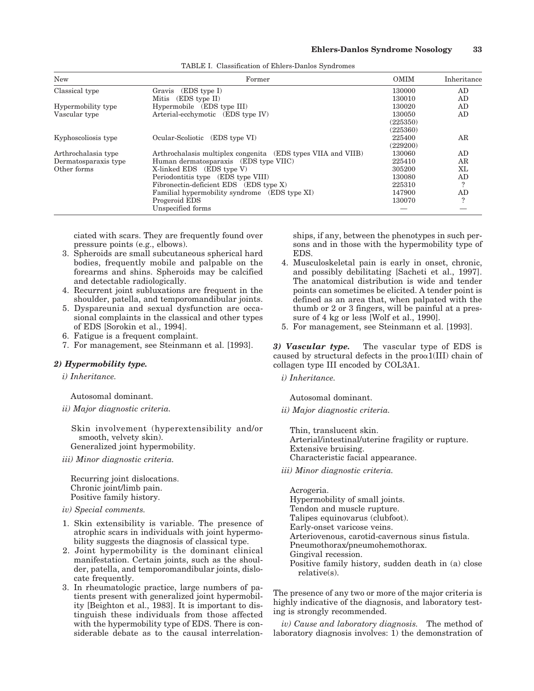| <b>New</b>                          | Former                                                       | <b>OMIM</b> | Inheritance |
|-------------------------------------|--------------------------------------------------------------|-------------|-------------|
| Classical type                      | (EDS type I)<br>Gravis                                       | 130000      | AD          |
|                                     | Mitis (EDS type II)                                          | 130010      | AD          |
| Hypermobility type                  | Hypermobile (EDS type III)                                   | 130020      | AD          |
| Vascular type                       | Arterial-ecchymotic (EDS type IV)                            | 130050      | AD          |
|                                     |                                                              | (225350)    |             |
|                                     |                                                              | (225360)    |             |
| Kyphoscoliosis type                 | Ocular-Scoliotic (EDS type VI)                               | 225400      | AR          |
|                                     |                                                              | (229200)    |             |
| Arthrochalasia type                 | Arthrochalasis multiplex congenita (EDS types VIIA and VIIB) | 130060      | AD          |
| Dermatosparaxis type<br>Other forms | Human dermatosparaxis (EDS type VIIC)                        | 225410      | AR          |
|                                     | X-linked EDS (EDS type V)                                    | 305200      | ΧL          |
|                                     | Periodontitis type (EDS type VIII)                           | 130080      | AD          |
|                                     | Fibronectin-deficient EDS (EDS type X)                       | 225310      | 9           |
|                                     | Familial hypermobility syndrome (EDS type XI)                | 147900      | AD          |
|                                     | Progeroid EDS                                                | 130070      | 9           |
|                                     | Unspecified forms                                            |             |             |

|  |  | TABLE I. Classification of Ehlers-Danlos Syndromes |  |
|--|--|----------------------------------------------------|--|
|--|--|----------------------------------------------------|--|

ciated with scars. They are frequently found over pressure points (e.g., elbows).

- 3. Spheroids are small subcutaneous spherical hard bodies, frequently mobile and palpable on the forearms and shins. Spheroids may be calcified and detectable radiologically.
- 4. Recurrent joint subluxations are frequent in the shoulder, patella, and temporomandibular joints.
- 5. Dyspareunia and sexual dysfunction are occasional complaints in the classical and other types of EDS [Sorokin et al., 1994].
- 6. Fatigue is a frequent complaint.
- 7. For management, see Steinmann et al. [1993].

## *2) Hypermobility type.*

*i) Inheritance.*

Autosomal dominant.

*ii) Major diagnostic criteria.*

Skin involvement (hyperextensibility and/or smooth, velvety skin).

Generalized joint hypermobility.

*iii) Minor diagnostic criteria.*

Recurring joint dislocations. Chronic joint/limb pain. Positive family history.

- *iv) Special comments.*
- 1. Skin extensibility is variable. The presence of atrophic scars in individuals with joint hypermobility suggests the diagnosis of classical type.
- 2. Joint hypermobility is the dominant clinical manifestation. Certain joints, such as the shoulder, patella, and temporomandibular joints, dislocate frequently.
- 3. In rheumatologic practice, large numbers of patients present with generalized joint hypermobility [Beighton et al., 1983]. It is important to distinguish these individuals from those affected with the hypermobility type of EDS. There is considerable debate as to the causal interrelation-

ships, if any, between the phenotypes in such persons and in those with the hypermobility type of EDS.

- 4. Musculoskeletal pain is early in onset, chronic, and possibly debilitating [Sacheti et al., 1997]. The anatomical distribution is wide and tender points can sometimes be elicited. A tender point is defined as an area that, when palpated with the thumb or 2 or 3 fingers, will be painful at a pressure of 4 kg or less [Wolf et al., 1990].
- 5. For management, see Steinmann et al. [1993].

*3) Vascular type.* The vascular type of EDS is caused by structural defects in the  $prox1(III)$  chain of collagen type III encoded by COL3A1.

*i) Inheritance.*

Autosomal dominant.

*ii) Major diagnostic criteria.*

Thin, translucent skin. Arterial/intestinal/uterine fragility or rupture. Extensive bruising. Characteristic facial appearance.

*iii) Minor diagnostic criteria.*

Acrogeria. Hypermobility of small joints. Tendon and muscle rupture. Talipes equinovarus (clubfoot). Early-onset varicose veins. Arteriovenous, carotid-cavernous sinus fistula. Pneumothorax/pneumohemothorax. Gingival recession. Positive family history, sudden death in (a) close relative(s).

The presence of any two or more of the major criteria is highly indicative of the diagnosis, and laboratory testing is strongly recommended.

*iv) Cause and laboratory diagnosis.* The method of laboratory diagnosis involves: 1) the demonstration of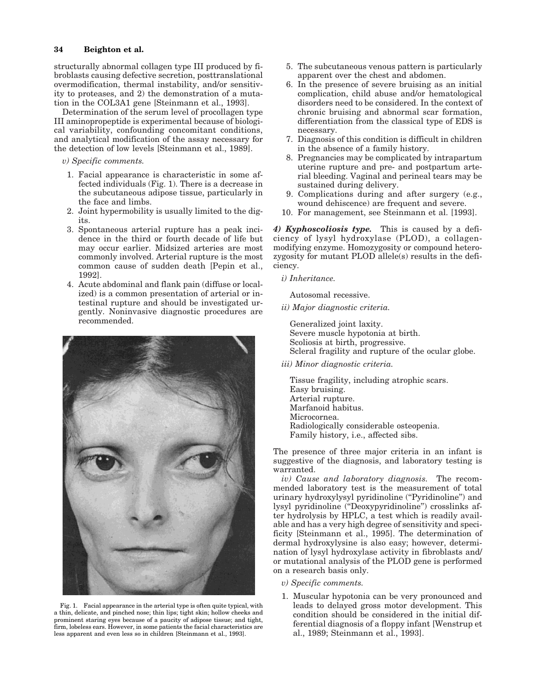## **34 Beighton et al.**

structurally abnormal collagen type III produced by fibroblasts causing defective secretion, posttranslational overmodification, thermal instability, and/or sensitivity to proteases, and 2) the demonstration of a mutation in the COL3A1 gene [Steinmann et al., 1993].

Determination of the serum level of procollagen type III aminopropeptide is experimental because of biological variability, confounding concomitant conditions, and analytical modification of the assay necessary for the detection of low levels [Steinmann et al., 1989].

*v) Specific comments.*

- 1. Facial appearance is characteristic in some affected individuals (Fig. 1). There is a decrease in the subcutaneous adipose tissue, particularly in the face and limbs.
- 2. Joint hypermobility is usually limited to the digits.
- 3. Spontaneous arterial rupture has a peak incidence in the third or fourth decade of life but may occur earlier. Midsized arteries are most commonly involved. Arterial rupture is the most common cause of sudden death [Pepin et al., 1992].
- 4. Acute abdominal and flank pain (diffuse or localized) is a common presentation of arterial or intestinal rupture and should be investigated urgently. Noninvasive diagnostic procedures are recommended.



Fig. 1. Facial appearance in the arterial type is often quite typical, with a thin, delicate, and pinched nose; thin lips; tight skin; hollow cheeks and prominent staring eyes because of a paucity of adipose tissue; and tight, firm, lobeless ears. However, in some patients the facial characteristics are less apparent and even less so in children [Steinmann et al., 1993].

- 5. The subcutaneous venous pattern is particularly apparent over the chest and abdomen.
- 6. In the presence of severe bruising as an initial complication, child abuse and/or hematological disorders need to be considered. In the context of chronic bruising and abnormal scar formation, differentiation from the classical type of EDS is necessary.
- 7. Diagnosis of this condition is difficult in children in the absence of a family history.
- 8. Pregnancies may be complicated by intrapartum uterine rupture and pre- and postpartum arterial bleeding. Vaginal and perineal tears may be sustained during delivery.
- 9. Complications during and after surgery (e.g., wound dehiscence) are frequent and severe.
- 10. For management, see Steinmann et al. [1993].

*4) Kyphoscoliosis type.* This is caused by a deficiency of lysyl hydroxylase (PLOD), a collagenmodifying enzyme. Homozygosity or compound heterozygosity for mutant PLOD allele(s) results in the deficiency.

*i) Inheritance.*

Autosomal recessive.

*ii) Major diagnostic criteria.*

Generalized joint laxity. Severe muscle hypotonia at birth. Scoliosis at birth, progressive. Scleral fragility and rupture of the ocular globe.

*iii) Minor diagnostic criteria.*

Tissue fragility, including atrophic scars. Easy bruising. Arterial rupture. Marfanoid habitus. Microcornea. Radiologically considerable osteopenia. Family history, i.e., affected sibs.

The presence of three major criteria in an infant is suggestive of the diagnosis, and laboratory testing is warranted.

*iv) Cause and laboratory diagnosis.* The recommended laboratory test is the measurement of total urinary hydroxylysyl pyridinoline (''Pyridinoline'') and lysyl pyridinoline (''Deoxypyridinoline'') crosslinks after hydrolysis by HPLC, a test which is readily available and has a very high degree of sensitivity and specificity [Steinmann et al., 1995]. The determination of dermal hydroxylysine is also easy; however, determination of lysyl hydroxylase activity in fibroblasts and/ or mutational analysis of the PLOD gene is performed on a research basis only.

- *v) Specific comments.*
- 1. Muscular hypotonia can be very pronounced and leads to delayed gross motor development. This condition should be considered in the initial differential diagnosis of a floppy infant [Wenstrup et al., 1989; Steinmann et al., 1993].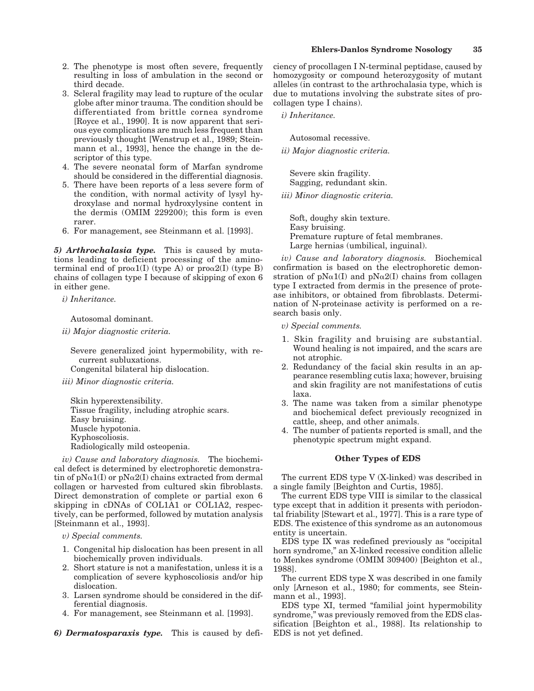- 2. The phenotype is most often severe, frequently resulting in loss of ambulation in the second or third decade.
- 3. Scleral fragility may lead to rupture of the ocular globe after minor trauma. The condition should be differentiated from brittle cornea syndrome [Royce et al., 1990]. It is now apparent that serious eye complications are much less frequent than previously thought [Wenstrup et al., 1989; Steinmann et al., 1993], hence the change in the descriptor of this type.
- 4. The severe neonatal form of Marfan syndrome should be considered in the differential diagnosis.
- 5. There have been reports of a less severe form of the condition, with normal activity of lysyl hydroxylase and normal hydroxylysine content in the dermis (OMIM 229200); this form is even rarer.
- 6. For management, see Steinmann et al. [1993].

*5) Arthrochalasia type.* This is caused by mutations leading to deficient processing of the aminoterminal end of  $prox1(I)$  (type A) or  $prox2(I)$  (type B) chains of collagen type I because of skipping of exon 6 in either gene.

*i) Inheritance.*

Autosomal dominant.

*ii) Major diagnostic criteria.*

Severe generalized joint hypermobility, with recurrent subluxations.

Congenital bilateral hip dislocation.

*iii) Minor diagnostic criteria.*

Skin hyperextensibility. Tissue fragility, including atrophic scars. Easy bruising. Muscle hypotonia. Kyphoscoliosis. Radiologically mild osteopenia.

*iv) Cause and laboratory diagnosis.* The biochemical defect is determined by electrophoretic demonstratin of  $pN\alpha1(I)$  or  $pN\alpha2(I)$  chains extracted from dermal collagen or harvested from cultured skin fibroblasts. Direct demonstration of complete or partial exon 6 skipping in cDNAs of COL1A1 or COL1A2, respectively, can be performed, followed by mutation analysis [Steinmann et al., 1993].

*v) Special comments.*

- 1. Congenital hip dislocation has been present in all biochemically proven individuals.
- 2. Short stature is not a manifestation, unless it is a complication of severe kyphoscoliosis and/or hip dislocation.
- 3. Larsen syndrome should be considered in the differential diagnosis.
- 4. For management, see Steinmann et al. [1993].

*6) Dermatosparaxis type.* This is caused by defi-

ciency of procollagen I N-terminal peptidase, caused by homozygosity or compound heterozygosity of mutant alleles (in contrast to the arthrochalasia type, which is due to mutations involving the substrate sites of procollagen type I chains).

*i) Inheritance.*

Autosomal recessive.

*ii) Major diagnostic criteria.*

Severe skin fragility. Sagging, redundant skin. *iii) Minor diagnostic criteria.*

Soft, doughy skin texture. Easy bruising. Premature rupture of fetal membranes. Large hernias (umbilical, inguinal).

*iv) Cause and laboratory diagnosis.* Biochemical confirmation is based on the electrophoretic demonstration of  $p\text{Na}(I)$  and  $p\text{Na}(I)$  chains from collagen type I extracted from dermis in the presence of protease inhibitors, or obtained from fibroblasts. Determination of N-proteinase activity is performed on a research basis only.

*v) Special comments.*

- 1. Skin fragility and bruising are substantial. Wound healing is not impaired, and the scars are not atrophic.
- 2. Redundancy of the facial skin results in an appearance resembling cutis laxa; however, bruising and skin fragility are not manifestations of cutis laxa.
- 3. The name was taken from a similar phenotype and biochemical defect previously recognized in cattle, sheep, and other animals.
- 4. The number of patients reported is small, and the phenotypic spectrum might expand.

## **Other Types of EDS**

The current EDS type V (X-linked) was described in a single family [Beighton and Curtis, 1985].

The current EDS type VIII is similar to the classical type except that in addition it presents with periodontal friability [Stewart et al., 1977]. This is a rare type of EDS. The existence of this syndrome as an autonomous entity is uncertain.

EDS type IX was redefined previously as "occipital horn syndrome," an X-linked recessive condition allelic to Menkes syndrome (OMIM 309400) [Beighton et al., 1988].

The current EDS type X was described in one family only [Arneson et al., 1980; for comments, see Steinmann et al., 1993].

EDS type XI, termed "familial joint hypermobility syndrome," was previously removed from the EDS classification [Beighton et al., 1988]. Its relationship to EDS is not yet defined.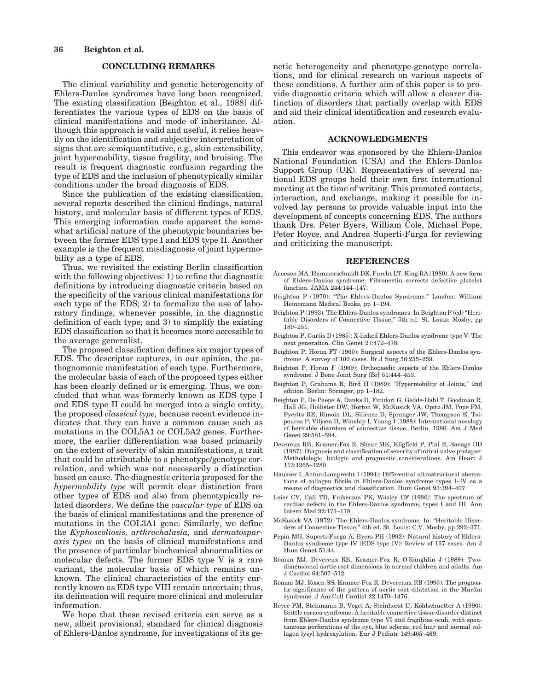### **CONCLUDING REMARKS**

The clinical variability and genetic heterogeneity of Ehlers-Danlos syndromes have long been recognized. The existing classification [Beighton et al., 1988] differentiates the various types of EDS on the basis of clinical manifestations and mode of inheritance. Although this approach is valid and useful, it relies heavily on the identification and subjective interpretation of signs that are semiquantitative, e.g., skin extensibility, joint hypermobility, tissue fragility, and bruising. The result is frequent diagnostic confusion regarding the type of EDS and the inclusion of phenotypically similar conditions under the broad diagnosis of EDS.

Since the publication of the existing classification, several reports described the clinical findings, natural history, and molecular basis of different types of EDS. This emerging information made apparent the somewhat artificial nature of the phenotypic boundaries between the former EDS type I and EDS type II. Another example is the frequent misdiagnosis of joint hypermobility as a type of EDS.

Thus, we revisited the existing Berlin classification with the following objectives: 1) to refine the diagnostic definitions by introducing diagnostic criteria based on the specificity of the various clinical manifestations for each type of the EDS; 2) to formalize the use of laboratory findings, whenever possible, in the diagnostic definition of each type; and 3) to simplify the existing EDS classification so that it becomes more accessible to the average generalist.

The proposed classification defines six major types of EDS. The descriptor captures, in our opinion, the pathognomonic manifestation of each type. Furthermore, the molecular basis of each of the proposed types either has been clearly defined or is emerging. Thus, we concluded that what was formerly known as EDS type I and EDS type II could be merged into a single entity, the proposed *classical type,* because recent evidence indicates that they can have a common cause such as mutations in the COL5A1 or COL5A2 genes. Furthermore, the earlier differentiation was based primarily on the extent of severity of skin manifestations, a trait that could be attributable to a phenotype/genotype correlation, and which was not necessarily a distinction based on cause. The diagnostic criteria proposed for the *hypermobility type* will permit clear distinction from other types of EDS and also from phenotypically related disorders. We define the *vascular type* of EDS on the basis of clinical manifestations and the presence of mutations in the COL3A1 gene. Similarly, we define the *Kyphoscoliosis, arthrochalasia,* and *dermatosparaxis types* on the basis of clinical manifestations and the presence of particular biochemical abnormalities or molecular defects. The former EDS type V is a rare variant, the molecular basis of which remains unknown. The clinical characteristics of the entity currently known as EDS type VIII remain uncertain; thus, its delineation will require more clinical and molecular information.

We hope that these revised criteria can serve as a new, albeit provisional, standard for clinical diagnosis of Ehlers-Danlos syndrome, for investigations of its genetic heterogeneity and phenotype-genotype correlations, and for clinical research on various aspects of these conditions. A further aim of this paper is to provide diagnostic criteria which will allow a clearer distinction of disorders that partially overlap with EDS and aid their clinical identification and research evaluation.

#### **ACKNOWLEDGMENTS**

This endeavor was sponsored by the Ehlers-Danlos National Foundation (USA) and the Ehlers-Danlos Support Group (UK). Representatives of several national EDS groups held their own first international meeting at the time of writing. This promoted contacts, interaction, and exchange, making it possible for involved lay persons to provide valuable input into the development of concepts concerning EDS. The authors thank Drs. Peter Byers, William Cole, Michael Pope, Peter Royce, and Andrea Superti-Furga for reviewing and criticizing the manuscript.

#### **REFERENCES**

- Arneson MA, Hammerschmidt DE, Furcht LT, King RA (1980): A new form of Ehlers-Danlos syndrome. Fibronectin corrects defective platelet function. JAMA 244:144–147.
- Beighton P (1970): "The Ehlers-Danlos Syndrome." London: William Heinemann Medical Books, pp 1–194.
- Beighton P (1993): The Ehlers-Danlos syndromes. In Beighton P (ed) "Heritable Disorders of Connective Tissue," 5th ed. St. Louis: Mosby, pp 189–251.
- Beighton P, Curtis D (1985): X-linked Ehlers-Danlos syndrome type V: The next generation. Clin Genet 27:472–478.
- Beighton P, Horan FT (1960): Surgical aspects of the Ehlers-Danlos syndrome. A survey of 100 cases. Br J Surg 56:255–259.
- Beighton P, Horan F (1969): Orthopaedic aspects of the Ehlers-Danlos syndrome. J Bone Joint Surg [Br] 51:444–453.
- Beighton P, Grahame R, Bird H (1989): "Hypermobility of Joints," 2nd edition. Berlin: Springer, pp 1–182.
- Beighton P, De Paepe A, Danks D, Finidori G, Gedde-Dahl T, Goodman R, Hall JG, Hollister DW, Horton W, McKusick VA, Opitz JM, Pope FM, Pyeritz RE, Rimoin DL, Sillence D, Spranger JW, Thompson E, Tsipouras P, Viljoen D, Winship I, Young I (1988): International nosology of heritable disorders of connective tissue, Berlin, 1986. Am J Med Genet 29:581–594.
- Devereux RB, Kramer-Fox R, Shear MK, Kligfield P, Pini R, Savage DD (1987): Diagnosis and classification of severity of mitral valve prolapse: Methodologic, biologic and prognostic considerations. Am Heart J 113:1265–1280.
- Hausser I, Anton-Lamprecht I (1994): Differential ultrastructural aberrations of collagen fibrils in Ehlers-Danlos syndrome types I–IV as a means of diagnostics and classification. Hum Genet 93:394–407.
- Leier CV, Call TD, Fulkerson PK, Wooley CF (1980): The spectrum of cardiac defects in the Ehlers-Danlos syndrome, types I and III. Ann Intern Med 92:171–178.
- McKusick VA (1972): The Ehlers-Danlos syndrome. In: "Heritable Disorders of Connective Tissue," 4th ed. St. Louis: C.V. Mosby, pp 292–371.
- Pepin MG, Superti-Furga A, Byers PH (1992): Natural history of Ehlers-Danlos syndrome type IV (EDS type IV): Review of 137 cases. Am J Hum Genet 51:44.
- Roman MJ, Devereux RB, Kramer-Fox R, O'Ranghlin J (1989): Twodimensional aortic root dimensions in normal children and adults. Am J Cardiol 64:507–512.
- Roman MJ, Rosen SS, Kramer-Fox R, Devereaux RB (1993): The prognostic significance of the pattern of aortic root dilatation in the Marfan syndrome. J Am Coll Cardiol 22:1470–1476.
- Royce PM, Steinmann B, Vogel A, Steinhorst U, Kohlschuetter A (1990): Brittle cornea syndrome: A heritable connective tissue disorder distinct from Ehlers-Danlos syndrome type VI and fragilitas oculi, with spontaneous perforations of the eye, blue sclerae, red hair and normal collagen lysyl hydroxylation. Eur J Pediatr 149:465–469.